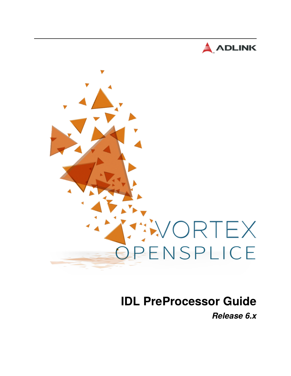



# **IDL PreProcessor Guide**

*Release 6.x*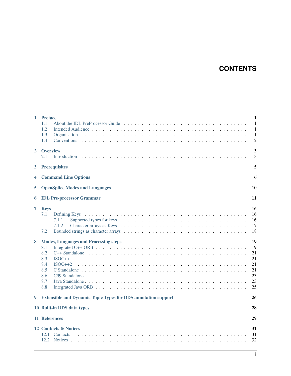# **CONTENTS**

| $\mathbf{1}$ | <b>Preface</b><br>1.1<br>1.2<br>1.3<br>1.4<br><b>Conventions</b>                                                             | 1<br>$\mathbf{1}$<br>1<br>$\mathbf{1}$<br>$\overline{2}$ |
|--------------|------------------------------------------------------------------------------------------------------------------------------|----------------------------------------------------------|
| $\mathbf{2}$ | <b>Overview</b><br>2.1<br>Introduction                                                                                       | 3<br>3                                                   |
| 3            | <b>Prerequisites</b>                                                                                                         | 5                                                        |
| 4            | <b>Command Line Options</b>                                                                                                  | 6                                                        |
| 5            | <b>OpenSplice Modes and Languages</b>                                                                                        | 10                                                       |
| 6            | <b>IDL Pre-processor Grammar</b>                                                                                             | 11                                                       |
| 7<br>8       | <b>Keys</b><br>7.1<br>7.1.1<br>7.1.2<br>7.2<br><b>Modes, Languages and Processing steps</b><br>8.1<br>8.2<br>8.3<br>$ISOC++$ | 16<br>16<br>16<br>17<br>18<br>19<br>19<br>21<br>21       |
|              | 8.4<br>8.5<br>8.6<br>8.7<br>8.8                                                                                              | 21<br>21<br>23<br>23<br>25                               |
| 9            | <b>Extensible and Dynamic Topic Types for DDS annotation support</b>                                                         | 26                                                       |
|              | 10 Built-in DDS data types                                                                                                   | 28                                                       |
|              | 11 References                                                                                                                | 29                                                       |
|              | 12 Contacts & Notices<br>12.1                                                                                                | 31<br>31<br>32                                           |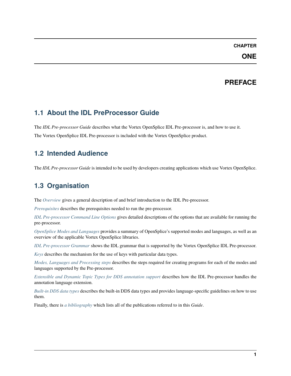# **PREFACE**

# <span id="page-2-1"></span><span id="page-2-0"></span>**1.1 About the IDL PreProcessor Guide**

The *IDL Pre-processor Guide* describes what the Vortex OpenSplice IDL Pre-processor is, and how to use it. The Vortex OpenSplice IDL Pre-processor is included with the Vortex OpenSplice product.

# <span id="page-2-2"></span>**1.2 Intended Audience**

The *IDL Pre-processor Guide* is intended to be used by developers creating applications which use Vortex OpenSplice.

# <span id="page-2-3"></span>**1.3 Organisation**

The *[Overview](#page-4-0)* gives a general description of and brief introduction to the IDL Pre-processor.

*[Prerequisites](#page-6-0)* describes the prerequisites needed to run the pre-processor.

*[IDL Pre-processor Command Line Options](#page-7-0)* gives detailed descriptions of the options that are available for running the pre-processor.

*[OpenSplice Modes and Languages](#page-11-0)* provides a summary of OpenSplice's supported modes and languages, as well as an overview of the applicable Vortex OpenSplice libraries.

*[IDL Pre-processor Grammar](#page-12-0)* shows the IDL grammar that is supported by the Vortex OpenSplice IDL Pre-processor.

*[Keys](#page-17-0)* describes the mechanism for the use of keys with particular data types.

*[Modes, Languages and Processing steps](#page-20-0)* describes the steps required for creating programs for each of the modes and languages supported by the Pre-processor.

*[Extensible and Dynamic Topic Types for DDS annotation support](#page-27-0)* describes how the IDL Pre-processor handles the annotation language extension.

*[Built-in DDS data types](#page-29-0)* describes the built-in DDS data types and provides language-specific guidelines on how to use them.

Finally, there is *[a bibliography](#page-30-0)* which lists all of the publications referred to in this *Guide*.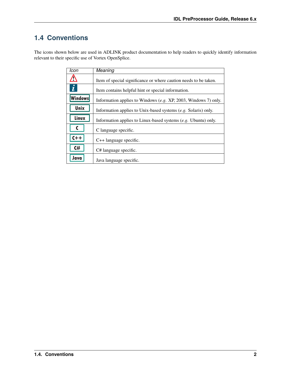# <span id="page-3-0"></span>**1.4 Conventions**

The icons shown below are used in ADLINK product documentation to help readers to quickly identify information relevant to their specific use of Vortex OpenSplice.

| Icon             | Meaning                                                           |
|------------------|-------------------------------------------------------------------|
| י י              | Item of special significance or where caution needs to be taken.  |
| $\tilde{\bm{l}}$ | Item contains helpful hint or special information.                |
| <b>Windows</b>   | Information applies to Windows $(e.g. XP, 2003, Windows 7)$ only. |
| Unix             | Information applies to Unix-based systems (e.g. Solaris) only.    |
| Linux            | Information applies to Linux-based systems $(e.g.$ Ubuntu) only.  |
|                  | C language specific.                                              |
| $C++$            | $C++$ language specific.                                          |
| C#               | C# language specific.                                             |
| Java             | Java language specific.                                           |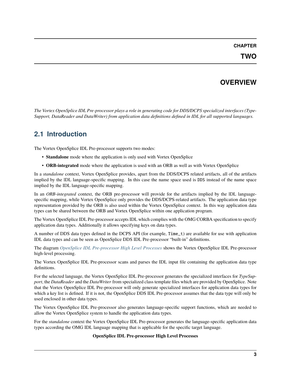# **OVERVIEW**

<span id="page-4-0"></span>*The Vortex OpenSplice IDL Pre-processor plays a role in generating code for DDS/DCPS specialized interfaces (Type-Support, DataReader and DataWriter) from application data definitions defined in IDL for all supported languages.*

# <span id="page-4-1"></span>**2.1 Introduction**

The Vortex OpenSplice IDL Pre-processor supports two modes:

- **Standalone** mode where the application is only used with Vortex OpenSplice
- **ORB-integrated** mode where the application is used with an ORB as well as with Vortex OpenSplice

In a *standalone* context, Vortex OpenSplice provides, apart from the DDS/DCPS related artifacts, all of the artifacts implied by the lDL language-specific mapping. In this case the name space used is DDS instead of the name space implied by the IDL language-specific mapping.

In an *ORB-integrated* context, the ORB pre-processor will provide for the artifacts implied by the lDL languagespecific mapping, while Vortex OpenSplice only provides the DDS/DCPS-related artifacts. The application data type representation provided by the ORB is also used within the Vortex OpenSplice context. In this way application data types can be shared between the ORB and Vortex OpenSplice within one application program.

The Vortex OpenSplice IDL Pre-processor accepts IDL which complies with the OMG CORBA specification to specify application data types. Additionally it allows specifying keys on data types.

A number of DDS data types defined in the DCPS API (for example, Time\_t) are available for use with application IDL data types and can be seen as OpenSplice DDS IDL Pre-processor "built-in" definitions.

The diagram *[OpenSplice IDL Pre-processor High Level Processes](#page-4-2)* shows the Vortex OpenSplice IDL Pre-processor high-level processing.

The Vortex OpenSplice IDL Pre-processor scans and parses the IDL input file containing the application data type definitions.

For the selected language, the Vortex OpenSplice IDL Pre-processor generates the specialized interfaces for *TypeSupport*, the *DataReader* and the *DataWriter* from specialized class template files which are provided by OpenSplice. Note that the Vortex OpenSplice IDL Pre-processor will only generate specialized interfaces for application data types for which a key list is defined. If it is not, the OpenSplice DDS IDL Pre-processor assumes that the data type will only be used enclosed in other data types.

The Vortex OpenSplice IDL Pre-processor also generates language-specific support functions, which are needed to allow the Vortex OpenSplice system to handle the application data types.

<span id="page-4-2"></span>For the *standalone* context the Vortex OpenSplice IDL Pre-processor generates the language-specific application data types according the OMG IDL language mapping that is applicable for the specific target language.

### **OpenSplice IDL Pre-processor High Level Processes**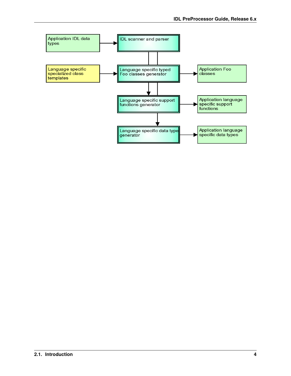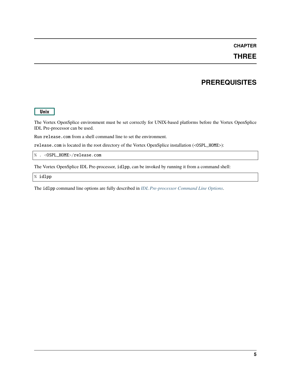### **THREE**

# **PREREQUISITES**

#### <span id="page-6-0"></span>Unix

The Vortex OpenSplice environment must be set correctly for UNIX-based platforms before the Vortex OpenSplice IDL Pre-processor can be used.

Run release.com from a shell command line to set the environment.

release.com is located in the root directory of the Vortex OpenSplice installation (<OSPL\_HOME>):

% . <OSPL\_HOME>/release.com

The Vortex OpenSplice IDL Pre-processor, idlpp, can be invoked by running it from a command shell:

% idlpp

The idlpp command line options are fully described in *[IDL Pre-processor Command Line Options](#page-7-0)*.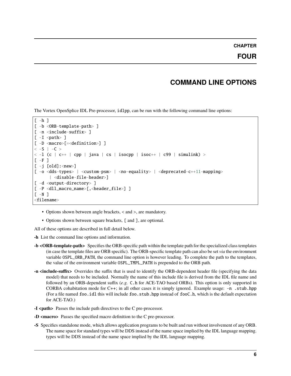# **COMMAND LINE OPTIONS**

<span id="page-7-0"></span>The Vortex OpenSplice IDL Pre-processor, idlpp, can be run with the following command line options:

```
[-h][ -b <ORB-template-path> ]
[ -n <include-suffix> ]
[-I \text{ such} > ][ -D <macro>[=<definition>] ]
<-S | -C >
\langle -1 (c | c++ | cpp | java | cs | isocpp | isoc++ | c99 | simulink) >
[-F][-j \quad [old]:<new>]
[ -o <dds-types> | <custom-psm> | <no-equality> | <deprecated-c++11-mapping>
      | <disable-file-header>]
[ -d <output-directory> ]
[ -P <dll_macro_name>[,<header_file>] ]
\lceil -N \rceil<filename>
```
- Options shown between angle brackets, < and >, are mandatory.
- Options shown between square brackets, [ and ], are optional.

All of these options are described in full detail below.

**-h** List the command line options and information.

- **-b <ORB-template-path>** Specifies the ORB-specific path within the template path for the specialized class templates (in case the template files are ORB specific). The ORB-specific template path can also be set *via* the environment variable OSPL\_ORB\_PATH, the command line option is however leading. To complete the path to the templates, the value of the environment variable OSPL\_TMPL\_PATH is prepended to the ORB path.
- **-n <include-suffix>** Overrides the suffix that is used to identify the ORB-dependent header file (specifying the data model) that needs to be included. Normally the name of this include file is derived from the IDL file name and followed by an ORB-dependent suffix (*e.g.* C.h for ACE-TAO based ORBs). This option is only supported in CORBA cohabitation mode for  $C_{++}$ ; in all other cases it is simply ignored. Example usage:  $-n$ . stub.hpp (For a file named foo.idl this will include foo.stub.hpp instead of fooC.h, which is the default expectation for ACE-TAO.)
- **-I <path>** Passes the include path directives to the C pre-processor.
- **-D <macro>** Passes the specified macro definition to the C pre-processor.
- **-S** Specifies standalone mode, which allows application programs to be built and run without involvement of any ORB. The name space for standard types will be DDS instead of the name space implied by the IDL language mapping. types will be DDS instead of the name space implied by the IDL language mapping.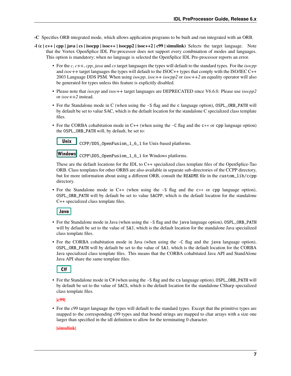**-C** Specifies ORB integrated mode, which allows application programs to be built and run integrated with an ORB.

- **-l (c | c++ | cpp | java | cs | isocpp | isoc++ | isocpp2 | isoc++2 | c99 | simulink)** Selects the target language. Note that the Vortex OpenSplice IDL Pre-processor does not support every combination of modes and languages. This option is mandatory; when no language is selected the OpenSplice IDL Pre-processor reports an error.
	- For the *c*, *c++*, *cpp*, *java* and *cs* target languages the types will default to the standard types. For the *isocpp* and *isoc++* target languages the types will default to the ISOC++ types that comply with the ISO/IEC C++ 2003 Language DDS PSM. When using *isocpp*, *isoc++ isocpp2* or *isoc++2* an equality operator will also be generated for types unless this feature is explicitly disabled.
	- Please note that *isocpp* and *isoc++* target languages are DEPRECATED since V6.6.0. Please use *isocpp2* or *isoc++2* instead.
	- For the Standalone mode in C (when using the -S flag and the c language option), OSPL\_ORB\_PATH will by default be set to value SAC, which is the default location for the standalone C specialized class template files.
	- For the CORBA cohabitation mode in C++ (when using the  $-C$  flag and the c++ or cpp language option) the OSPL\_ORB\_PATH will, by default, be set to:

Unix

CCPP/DDS\_OpenFusion\_1\_6\_1 for Unix-based platforms.

Windows CCPP\DDS\_OpenFusion\_1\_6\_1 for Windows platforms.

These are the default locations for the IDL to C++ specialized class template files of the OpenSplice-Tao ORB. Class templates for other ORBS are also available in separate sub-directories of the CCPP directory, but for more information about using a different ORB, consult the README file in the custom\_lib/ccpp directory.

• For the Standalone mode in C++ (when using the -S flag and the c++ or cpp language option), OSPL\_ORB\_PATH will by default be set to value SACPP, which is the default location for the standalone C++ specialized class template files.

Java

- For the Standalone mode in Java (when using the -S flag and the java language option), OSPL\_ORB\_PATH will by default be set to the value of SAJ, which is the default location for the standalone Java specialized class template files.
- For the CORBA cohabitation mode in Java (when using the -C flag and the java language option), OSPL\_ORB\_PATH will by default be set to the value of SAJ, which is the default location for the CORBA Java specialized class template files. This means that the CORBA cohabitated Java API and StandAlone Java API share the same template files.



• For the Standalone mode in C# (when using the -S flag and the cs language option), OSPL\_ORB\_PATH will by default be set to the value of SACS, which is the default location for the standalone CSharp specialized class template files.

**|c99|**

• For the c99 target language the types will default to the standard types. Except that the primitive types are mapped to the corresponding c99 types and that bound strings are mapped to char arrays with a size one larger than specified in the idl definition to allow for the terminating 0 character.

#### **|simulink|**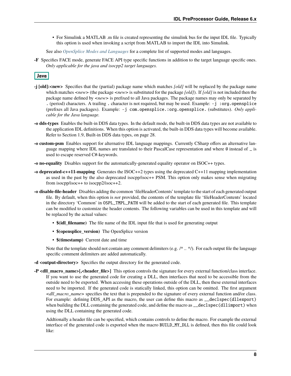• For Simulink a MATLAB .m file is created representing the simulink bus for the input IDL file. Typically this option is used when invoking a script from MATLAB to import the IDL into Simulink.

See also *[OpenSplice Modes and Languages](#page-11-0)* for a complete list of supported modes and languages.

**-F** Specifies FACE mode, generate FACE API type specific functions in addition to the target language specific ones. *Only applicable for the java and isocpp2 target languages.*

### Java

- **-j [old]:<new>** Specifies that the (partial) package name which matches *[old]* will be replaced by the package name which matches *<new>* (the package *<new>* is substituted for the package *[old]*). If *[old]* is not included then the package name defined by *<new>* is prefixed to all Java packages. The package names may only be separated by . (period) characters. A trailing . character is not required, but may be used. Example: -j :org.opensplice (prefixes all Java packages). Example: -j com.opensplice.:org.opensplice. (substitutes). *Only applicable for the Java language.*
- **-o dds-types** Enables the built-in DDS data types. In the default mode, the built-in DDS data types are not available to the application IDL definitions. When this option is activated, the built-in DDS data types will become available. Refer to Section 1.9, Built-in DDS data types, on page 28.
- **-o custom-psm** Enables support for alternative IDL language mappings. Currently CSharp offers an alternative language mapping where IDL names are translated to their PascalCase representation and where @ instead of \_ is used to escape reserved C#-keywords.
- **-o no-equality** Disables support for the automatically-generated equality operator on ISOC++ types.
- **-o deprecated-c++11-mapping** Generates the ISOC++2 types using the deprecated C++11 mapping implementation as used in the past by the also deprecated isocpp/isoc++ PSM. This option only makes sense when migrating from isocpp/isoc++ to isocpp2/isoc++2.
- **-o disable-file-header** Disables adding the common 'fileHeaderContents' template to the start of each generated output file. By default, when this option is *not* provided, the contents of the template file 'fileHeaderContents' located in the directory 'Common' in OSPL\_TMPL\_PATH will be added to the start of each generated file. This template can be modified to customize the header contents. The following variables can be used in this template and will be replaced by the actual values:
	- **\$(idl\_filename)** The file name of the IDL input file that is used for generating output
	- **\$(opensplice\_version)** The OpenSplice version
	- **\$(timestamp)** Current date and time

Note that the template should not contain any comment delimiters (e.g. /\* .. \*/). For each output file the language specific comment delimiters are added automatically.

**-d <output-directory>** Specifies the output directory for the generated code.

**-P <dll\_macro\_name>[,<header\_file>]** This option controls the signature for every external function/class interface. If you want to use the generated code for creating a DLL, then interfaces that need to be accessible from the outside need to be exported. When accessing these operations outside of the DLL, then these external interfaces need to be imported. If the generated code is statically linked, this option can be omitted. The first argument *<dll\_macro\_name>* specifies the text that is prepended to the signature of every external function and/or class. For example: defining DDS API as the macro, the user can define this macro as  $\text{\_declspec}(d)$ lexport) when building the DLL containing the generated code, and define the macro as  $\_\_$ declspec(dllimport) when using the DLL containing the generated code.

Addtionally a header file can be specified, which contains controls to define the macro. For example the external interface of the generated code is exported when the macro BUILD\_MY\_DLL is defined, then this file could look like: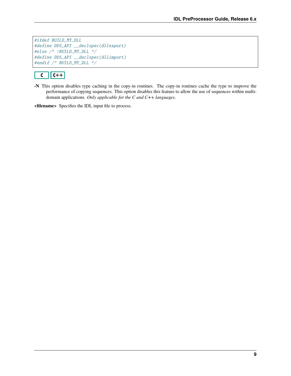#ifdef BUILD\_MY\_DLL #define DDS\_API \_\_declspec(dllexport) #else /\* !BUILD\_MY\_DLL \*/ #define DDS\_API \_\_declspec(dllimport) #endif /\* BUILD\_MY\_DLL \*/

#### $\sqrt{C+1}$  $\overline{\mathbf{C}}$

**-N** This option disables type caching in the copy-in routines. The copy-in routines cache the type to improve the performance of copying sequences. This option disables this feature to allow the use of sequences within multidomain applications. *Only applicable for the C and C++ languages.*

**<filename>** Specifies the IDL input file to process.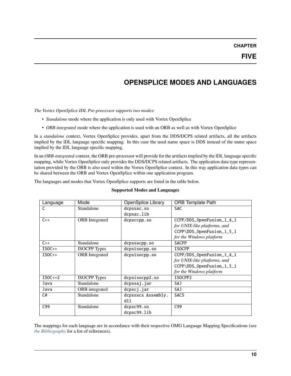# **OPENSPLICE MODES AND LANGUAGES**

<span id="page-11-0"></span>*The Vortex OpenSplice IDL Pre-processor supports two modes:*

- *Standalone* mode where the application is only used with Vortex OpenSplice
- *ORB-integrated* mode where the application is used with an ORB as well as with Vortex OpenSplice

In a *standalone* context, Vortex OpenSplice provides, apart from the DDS/DCPS related artifacts, all the artifacts implied by the lDL language specific mapping. In this case the used name space is DDS instead of the name space implied by the IDL language specific mapping.

In an *ORB-integrated* context, the ORB pre-processor will provide for the artifacts implied by the lDL language specific mapping, while Vortex OpenSplice only provides the DDS/DCPS related artifacts. The application data type representation provided by the ORB is also used within the Vortex OpenSplice context. In this way application data types can be shared between the ORB and Vortex OpenSplice within one application program.

The languages and modes that Vortex OpenSplice supports are listed in the table below.

| Language        | Mode                  | <b>OpenSplice Library</b> | <b>ORB</b> Template Path     |
|-----------------|-----------------------|---------------------------|------------------------------|
| C               | Standalone            | dcpssac.so                | <b>SAC</b>                   |
|                 |                       | dcpsac.lib                |                              |
| $C++$           | <b>ORB</b> Integrated | dcpsccpp.so               | CCPP/DDS_OpenFusion_1_4_1    |
|                 |                       |                           | for UNIX-like platforms, and |
|                 |                       |                           | CCPP\DDS_OpenFusion_1_5_1    |
|                 |                       |                           | for the Windows platform     |
| $C++$           | Standalone            | dcpssacpp.so              | <b>SACPP</b>                 |
| $ISOC++$        | <b>ISOCPP</b> Types   | dcpsisocpp.so             | <b>ISOCPP</b>                |
| $ISOC++$        | <b>ORB</b> Integrated | dcpsisocpp.so             | CCPP/DDS_OpenFusion_1_4_1    |
|                 |                       |                           | for UNIX-like platforms, and |
|                 |                       |                           | CCPP\DDS_OpenFusion_1_5_1    |
|                 |                       |                           | for the Windows platform     |
| $ISOC++2$       | <b>ISOCPP</b> Types   | dcpsisocpp2.so            | ISOCPP2                      |
| Java            | Standalone            | dcpssaj.jar               | SAJ                          |
| Java            | ORB integrated        | dcpscj.jar                | SAJ                          |
| C#              | Standalone            | dcpssacs Assembly.        | <b>SACS</b>                  |
|                 |                       | dll                       |                              |
| C <sub>99</sub> | Standalone            | dcpsc99.so                | C <sub>99</sub>              |
|                 |                       | dcpsc99.lib               |                              |

#### **Supported Modes and Languages**

The mappings for each language are in accordance with their respective OMG Language Mapping Specifications (see *[the Bibliography](#page-30-0)* for a list of references).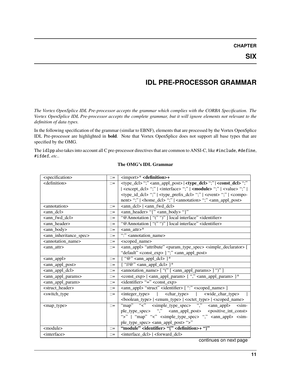### **IDL PRE-PROCESSOR GRAMMAR**

<span id="page-12-0"></span>*The Vortex OpenSplice IDL Pre-processor accepts the grammar which complies with the CORBA Specification. The Vortex OpenSplice IDL Pre-processor accepts the complete grammar, but it will ignore elements not relevant to the definition of data types.*

In the following specification of the grammar (similar to EBNF), elements that are processed by the Vortex OpenSplice IDL Pre-processor are highlighted in **bold**. Note that Vortex OpenSplice does not support all base types that are specified by the OMG.

The idlpp also takes into account all C pre-processor directives that are common to ANSI-C, like #include, #define, #ifdef, *etc.*.

| <specification></specification>                                                          |                  | <import>* <definition>+</definition></import>                                                                               |  |
|------------------------------------------------------------------------------------------|------------------|-----------------------------------------------------------------------------------------------------------------------------|--|
| <definition></definition>                                                                |                  | <type_dcl>";" <ann_appl_post>   <type_dcl> ";"   <const_dcl> ";"</const_dcl></type_dcl></ann_appl_post></type_dcl>          |  |
|                                                                                          |                  | <except_dcl> ";"   <interface> ";"   <module> ";"   <value> ";"  </value></module></interface></except_dcl>                 |  |
|                                                                                          |                  | <type_id_dcl> ";"   <type_prefix_dcl> ";"   <event> ";"   <compo-< td=""></compo-<></event></type_prefix_dcl></type_id_dcl> |  |
|                                                                                          |                  | nent> ";"   <home_dcl> ";"   <annotation> ";" <ann_appl_post></ann_appl_post></annotation></home_dcl>                       |  |
| <annotation></annotation>                                                                | $\mathbb{R}^2 =$ | <ann_dcl>   <ann_fwd_dcl></ann_fwd_dcl></ann_dcl>                                                                           |  |
| <ann dcl=""></ann>                                                                       | $\mathbb{R}^2 =$ | <ann_header> "{" <ann_body> "}"</ann_body></ann_header>                                                                     |  |
| <ann_fwd_dcl></ann_fwd_dcl>                                                              | $\mathbb{C} =$   | "@Annotation [ "(" ")" ] local interface" <identifier></identifier>                                                         |  |
| <ann header=""></ann>                                                                    | $\mathbb{C} =$   | "@Annotation [ "(" ")" ] local interface" <identifier></identifier>                                                         |  |
| <ann_body></ann_body>                                                                    | $\mathbb{R}^2 =$ | $\sqrt{\tan \pi}$ attr>*                                                                                                    |  |
| <ann_inheritance_spec></ann_inheritance_spec>                                            | $::=$            | ":" <annotation name=""></annotation>                                                                                       |  |
| <annotation_name></annotation_name>                                                      | $\mathbb{C} =$   | <scoped_name></scoped_name>                                                                                                 |  |
| <ann_attr></ann_attr>                                                                    | $\mathbb{R}^2 =$ | <ann_appl> "attribute" <param_type_spec> <simple_declarator> [</simple_declarator></param_type_spec></ann_appl>             |  |
|                                                                                          |                  | "default" <const_exp> ] ";" <ann_appl_post></ann_appl_post></const_exp>                                                     |  |
| <ann_appl></ann_appl>                                                                    | $\mathbb{C} =$   | $\{$ "@" <ann_appl_dcl> }*</ann_appl_dcl>                                                                                   |  |
| <ann_appl_post></ann_appl_post>                                                          | $\mathbb{C} =$   | $\{\ \ ^{\prime\prime}/\ \ (\ ^{\prime\prime}\ \$                                                                           |  |
| <ann_appl_dcl><br/><math>\mathbb{C} =</math></ann_appl_dcl>                              |                  | <annotation_name> [ "(" [ <ann_appl_params> ] ")" ]</ann_appl_params></annotation_name>                                     |  |
| <ann_appl_params></ann_appl_params>                                                      |                  | <const_exp>   <ann_appl_param> { "," <ann_appl_param> }*</ann_appl_param></ann_appl_param></const_exp>                      |  |
| <ann_appl_param></ann_appl_param>                                                        |                  | <identifier> "=" <const_exp></const_exp></identifier>                                                                       |  |
| <struct_header></struct_header>                                                          | $\mathbb{C} =$   | <ann_appl> "struct" <identifier> [ ":" <scoped_name> ]</scoped_name></identifier></ann_appl>                                |  |
| $\langle$ integer type $>$<br><switch_type<br><math>\mathbb{C} =</math></switch_type<br> |                  | <char_type>  <br/><wide_char_type></wide_char_type></char_type>                                                             |  |
|                                                                                          |                  | <boolean_type>   <enum_type>   <octet_type>   <scoped_name></scoped_name></octet_type></enum_type></boolean_type>           |  |
| <map type=""></map>                                                                      |                  | "map" "<" <simple_type_spec> "," <ann_appl><br/><math>\sin</math>-</ann_appl></simple_type_spec>                            |  |
|                                                                                          |                  | ple_type_spec> "," <ann_appl_post> <positive_int_const></positive_int_const></ann_appl_post>                                |  |
|                                                                                          |                  | ">"   "map" "<" <simple_type_spec> "," <ann_appl> <sim-< td=""></sim-<></ann_appl></simple_type_spec>                       |  |
|                                                                                          |                  | ple_type_spec> <ann_appl_post> "&gt;"</ann_appl_post>                                                                       |  |
| <module><br/><math>\mathbb{R}^2 =</math></module>                                        |                  | "module" <identifier> "{" <definition>+ "}"</definition></identifier>                                                       |  |
| <interface></interface>                                                                  |                  | <interface_dcl>   <forward_dcl></forward_dcl></interface_dcl>                                                               |  |

#### **The OMG's IDL Grammar**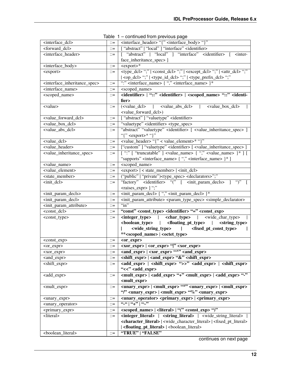|                                                           |                       | rable $\blacksquare$ - continued from previous page                                                                                                                                                                                                                                                                 |  |
|-----------------------------------------------------------|-----------------------|---------------------------------------------------------------------------------------------------------------------------------------------------------------------------------------------------------------------------------------------------------------------------------------------------------------------|--|
| <interface_dcl></interface_dcl>                           | $\mathrel{\mathop:}=$ | <interface_header> "{" <interface_body> "}"</interface_body></interface_header>                                                                                                                                                                                                                                     |  |
| <forward_dcl></forward_dcl>                               | $::=$                 | ["abstract"   "local" ] "interface" <identifier></identifier>                                                                                                                                                                                                                                                       |  |
| <interface_header></interface_header>                     | $\mathbb{C} =$        | [ "abstract"   "local" ] "interface" <identifier> [ <inter-< td=""></inter-<></identifier>                                                                                                                                                                                                                          |  |
|                                                           |                       | face_inheritance_spec>]                                                                                                                                                                                                                                                                                             |  |
| <interface_body></interface_body>                         | $::=$                 | $<$ export $>$ *                                                                                                                                                                                                                                                                                                    |  |
| <export></export>                                         | $::=$                 | <type_dcl>";"   <const_dcl> ";"   <except_dcl> ";"   <attr_dcl> ";"</attr_dcl></except_dcl></const_dcl></type_dcl>                                                                                                                                                                                                  |  |
|                                                           |                       | <op_dcl> ";"   <type_id_dcl> ";"   <type_prefix_dcl> ";"</type_prefix_dcl></type_id_dcl></op_dcl>                                                                                                                                                                                                                   |  |
| <interface_inheritance_spec></interface_inheritance_spec> | $::=$                 | ":" <interface_name> { "," <interface_name> }*</interface_name></interface_name>                                                                                                                                                                                                                                    |  |
| <interface_name></interface_name>                         | $::=$                 | <scoped_name></scoped_name>                                                                                                                                                                                                                                                                                         |  |
| <scoped_name></scoped_name>                               | $::=$                 | <identifier>   "::" <identifier>   <scoped_name> "::" <identi-< td=""></identi-<></scoped_name></identifier></identifier>                                                                                                                                                                                           |  |
|                                                           |                       | fier>                                                                                                                                                                                                                                                                                                               |  |
| <value></value>                                           | $::=$                 | ( <value_dcl>   <value_abs_dcl>  <br/><value box="" dcl=""></value></value_abs_dcl></value_dcl>                                                                                                                                                                                                                     |  |
|                                                           |                       | <value_forward_dcl>)</value_forward_dcl>                                                                                                                                                                                                                                                                            |  |
| <value_forward_dcl></value_forward_dcl>                   | $::=$                 | ["abstract"] "valuetype" <identifier></identifier>                                                                                                                                                                                                                                                                  |  |
| <value_box_dcl></value_box_dcl>                           | $::=$                 | "valuetype" <identifier> <type_spec></type_spec></identifier>                                                                                                                                                                                                                                                       |  |
| <value_abs_dcl></value_abs_dcl>                           | $::=$                 | "abstract" "valuetype" <identifier> [ <value_inheritance_spec> ]</value_inheritance_spec></identifier>                                                                                                                                                                                                              |  |
|                                                           |                       | "{" <export>* "}"</export>                                                                                                                                                                                                                                                                                          |  |
| <value_dcl></value_dcl>                                   | $\mathbb{C} =$        | <value_header> "{" &lt; value_element&gt;* "}"</value_header>                                                                                                                                                                                                                                                       |  |
| <value_header></value_header>                             | $\mathbb{C} =$        | ["custom"] "valuetype" <identifier> [ <value_inheritance_spec> ]</value_inheritance_spec></identifier>                                                                                                                                                                                                              |  |
| <value_inheritance_spec></value_inheritance_spec>         | $\mathbb{C} =$        | $\lceil$ ":" $\lceil$ "truncatable" $\lceil$ <value_name> <math>\lceil</math> "," <value_name> <math>\rceil</math> * <math>\lceil</math> <math>\lceil</math></value_name></value_name>                                                                                                                              |  |
|                                                           |                       | "supports" <interface_name> { "," <interface_name> }* ]</interface_name></interface_name>                                                                                                                                                                                                                           |  |
| <value_name></value_name>                                 | $\mathbb{C} =$        | <scoped_name></scoped_name>                                                                                                                                                                                                                                                                                         |  |
| <value_element></value_element>                           | $\mathbb{C} =$        | <export>   &lt; state_member&gt;   <init_dcl></init_dcl></export>                                                                                                                                                                                                                                                   |  |
| <state_member></state_member>                             | $::=$                 | ("public"   "private") <type_spec> <declarators>";"</declarators></type_spec>                                                                                                                                                                                                                                       |  |
| $\frac{\text{C}}{\text{C}}$                               | $::=$                 | "factory" <identifier> "(" [ <init_param_decls> ] ")"</init_param_decls></identifier>                                                                                                                                                                                                                               |  |
|                                                           |                       | <raises_expr> ] ";"</raises_expr>                                                                                                                                                                                                                                                                                   |  |
| <init_param_decls></init_param_decls>                     | $::=$                 | <init_param_decl>{"," <init_param_decl> }*</init_param_decl></init_param_decl>                                                                                                                                                                                                                                      |  |
| <init_param_decl></init_param_decl>                       | $::=$                 | <init_param_attribute> <param_type_spec> <simple_declarator></simple_declarator></param_type_spec></init_param_attribute>                                                                                                                                                                                           |  |
| <init_param_attribute></init_param_attribute>             | $\mathbb{C} =$        | $\lq\lq$ in"                                                                                                                                                                                                                                                                                                        |  |
| <const_dcl></const_dcl>                                   | $::=$                 | "const" <const_type> <identifier> "=" <const_exp></const_exp></identifier></const_type>                                                                                                                                                                                                                             |  |
| <const_type></const_type>                                 | $::=$                 | <integer_type>   <char_type>   <wide_char_type></wide_char_type></char_type></integer_type>                                                                                                                                                                                                                         |  |
|                                                           |                       | <boolean_type>   <floating_pt_type>   <string_type></string_type></floating_pt_type></boolean_type>                                                                                                                                                                                                                 |  |
|                                                           |                       | <wide_string_type>   <fixed_pt_const_type></fixed_pt_const_type></wide_string_type>                                                                                                                                                                                                                                 |  |
|                                                           |                       | ** <scoped_name>   <octet_type></octet_type></scoped_name>                                                                                                                                                                                                                                                          |  |
| <const_exp></const_exp>                                   | $::=$                 | <or_expr></or_expr>                                                                                                                                                                                                                                                                                                 |  |
| <or_expr></or_expr>                                       | $\mathrel{\mathop:}=$ | <xor_expr>   <or_expr> " " <xor_expr></xor_expr></or_expr></xor_expr>                                                                                                                                                                                                                                               |  |
| <xor_expr></xor_expr>                                     | $::=$                 | <and_expr>   <xor_expr> "^" <and_expr></and_expr></xor_expr></and_expr>                                                                                                                                                                                                                                             |  |
| <and_expr></and_expr>                                     | $\mathbb{C} =$        | <shift_expr>   <and_expr> "&amp;" <shift_expr></shift_expr></and_expr></shift_expr>                                                                                                                                                                                                                                 |  |
| <shift_expr></shift_expr>                                 | $\mathbb{C} =$        | <add_expr>   <shift_expr> "&gt;&gt;" <add_expr>   <shift_expr></shift_expr></add_expr></shift_expr></add_expr>                                                                                                                                                                                                      |  |
|                                                           |                       | "<<" <add_expr></add_expr>                                                                                                                                                                                                                                                                                          |  |
| <add_expr></add_expr>                                     | $::=$                 | <mult_expr>   <add_expr> "+" <mult_expr>   <add_expr> "-"</add_expr></mult_expr></add_expr></mult_expr>                                                                                                                                                                                                             |  |
|                                                           |                       | <mult_expr></mult_expr>                                                                                                                                                                                                                                                                                             |  |
| <mult_expr></mult_expr>                                   | $::=$                 | <unary_expr>   <mult_expr> "*" <unary_expr>   <mult_expr></mult_expr></unary_expr></mult_expr></unary_expr>                                                                                                                                                                                                         |  |
|                                                           |                       | "/" <unary_expr>   <mult_expr> "%" <unary_expr></unary_expr></mult_expr></unary_expr>                                                                                                                                                                                                                               |  |
| <unary_expr></unary_expr>                                 | $::=$                 | <unary_operator> <primary_expr> <primary_expr></primary_expr></primary_expr></unary_operator>                                                                                                                                                                                                                       |  |
| <unary_operator></unary_operator>                         | $\mathbb{R}^2 =$      | $\frac{1}{2}$ $\frac{1}{2}$ $\frac{1}{2}$ $\frac{1}{2}$ $\frac{1}{2}$ $\frac{1}{2}$ $\frac{1}{2}$ $\frac{1}{2}$ $\frac{1}{2}$ $\frac{1}{2}$ $\frac{1}{2}$ $\frac{1}{2}$ $\frac{1}{2}$ $\frac{1}{2}$ $\frac{1}{2}$ $\frac{1}{2}$ $\frac{1}{2}$ $\frac{1}{2}$ $\frac{1}{2}$ $\frac{1}{2}$ $\frac{1}{2}$ $\frac{1}{2}$ |  |
|                                                           |                       | <scoped_name>   <literal>   "(" <const_exp> ")"</const_exp></literal></scoped_name>                                                                                                                                                                                                                                 |  |
| <primary_expr><br/><math>::=</math></primary_expr>        |                       | <integer_literal>   <string_literal>   <wide_string_literal></wide_string_literal></string_literal></integer_literal>                                                                                                                                                                                               |  |
| <literal></literal>                                       | $\mathbb{C} =$        | <character_literal>   <wide_character_literal>   <fixed_pt_literal></fixed_pt_literal></wide_character_literal></character_literal>                                                                                                                                                                                 |  |
|                                                           |                       | <floating_pt_literal>   <br/> <br/>boolean_literal&gt;</floating_pt_literal>                                                                                                                                                                                                                                        |  |
| <boolean_literal></boolean_literal>                       | $\mathbb{C} =$        | "TRUE"   "FALSE"                                                                                                                                                                                                                                                                                                    |  |
|                                                           |                       |                                                                                                                                                                                                                                                                                                                     |  |

Table 1 – continued from previous page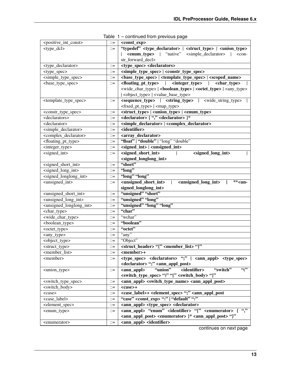| <positive_int_const></positive_int_const>       | $::=$                 | <const_exp></const_exp>                                                                                                             |  |
|-------------------------------------------------|-----------------------|-------------------------------------------------------------------------------------------------------------------------------------|--|
| <type_dcl></type_dcl>                           | $\mathrel{\mathop:}=$ | "typedef" <type_declarator>   <struct_type>   <union_type></union_type></struct_type></type_declarator>                             |  |
|                                                 |                       | <b><enum_type></enum_type></b>   "native" <simple_declarator>  <br/><math>&lt;</math>con-</simple_declarator>                       |  |
|                                                 |                       | str_forward_decl>                                                                                                                   |  |
| <type_declarator></type_declarator>             | $::=$                 | <type_spec> <declarators></declarators></type_spec>                                                                                 |  |
| <type_spec></type_spec>                         | $::=$                 | <simple_type_spec>   <constr_type_spec></constr_type_spec></simple_type_spec>                                                       |  |
| <simple_type_spec></simple_type_spec>           | $::=$                 |                                                                                                                                     |  |
| <br>base_type_spec>                             | $\mathbb{C} =$        | <floating_pt_type>   <integer_type>   <char_type></char_type></integer_type></floating_pt_type>                                     |  |
|                                                 |                       |                                                                                                                                     |  |
|                                                 |                       | <object_type>   <value_base_type></value_base_type></object_type>                                                                   |  |
| <template_type_spec></template_type_spec>       | $::=$                 | <sequence_type>   <string_type>   <wide_string_type></wide_string_type></string_type></sequence_type>                               |  |
|                                                 |                       | <fixed_pt_type>   <map_type></map_type></fixed_pt_type>                                                                             |  |
| <constr_type_spec></constr_type_spec>           | $\mathbb{C} =$        | <struct_type>   <union_type>   <enum_type></enum_type></union_type></struct_type>                                                   |  |
| <declarators></declarators>                     | $\mathbb{C} =$        | <declarator> { "," <declarator> }*</declarator></declarator>                                                                        |  |
| <declarator></declarator>                       | $\mathbb{C} =$        | <simple_declarator>   <complex_declarator></complex_declarator></simple_declarator>                                                 |  |
| <simple_declarator></simple_declarator>         | $\mathbb{R}^2 =$      | <identifier></identifier>                                                                                                           |  |
| <complex_declarator></complex_declarator>       | $::=$                 | <array_declarator></array_declarator>                                                                                               |  |
| <floating_pt_type></floating_pt_type>           | $::=$                 | "float"   "double"   "long" "double"                                                                                                |  |
| <integer_type></integer_type>                   | $::=$                 | $\overline{\text{ -}$ <signed_int> <math>\vert</math> <unsigned_int></unsigned_int></signed_int>                                    |  |
| <signed_int></signed_int>                       | $\mathbb{C} =$        | <signed_short_int><br/><signed_long_int></signed_long_int></signed_short_int>                                                       |  |
|                                                 |                       | <signed_longlong_int></signed_longlong_int>                                                                                         |  |
| <signed_short_int></signed_short_int>           | $\mathbb{R}^2$        | "short"                                                                                                                             |  |
| <signed_long_int></signed_long_int>             | $\mathbb{C} =$        | "long"                                                                                                                              |  |
| <signed_longlong_int></signed_longlong_int>     | $::=$                 | "long" "long"                                                                                                                       |  |
| <unsigned_int></unsigned_int>                   | $\mathbb{R}^2 =$      | <unsigned_short_int>  <br/><math>*un</math><br/><unsigned_long_int></unsigned_long_int></unsigned_short_int>                        |  |
|                                                 |                       | signed_longlong_int>                                                                                                                |  |
| <unsigned_short_int></unsigned_short_int>       | $::=$                 | "unsigned" "short"                                                                                                                  |  |
| <unsigned_long_int></unsigned_long_int>         | $::=$                 | "unsigned" "long"                                                                                                                   |  |
| <unsigned_longlong_int></unsigned_longlong_int> | $::=$                 | "unsigned" "long" "long"                                                                                                            |  |
| <char_type></char_type>                         | $\mathbb{R}^2$        | "char"                                                                                                                              |  |
| <wide_char_type></wide_char_type>               | $::=$                 | "wchar"                                                                                                                             |  |
| <boolean_type></boolean_type>                   | $::=$                 | "boolean"                                                                                                                           |  |
| <octet_type></octet_type>                       | $::=$                 | "octet"                                                                                                                             |  |
| <any_type></any_type>                           | $::=$                 | "any"                                                                                                                               |  |
| <object_type></object_type>                     | $::=$                 | "Object"                                                                                                                            |  |
| <struct_type></struct_type>                     | $::=$                 | <struct_header> "{" <member_list> "}"</member_list></struct_header>                                                                 |  |
| <member_list></member_list>                     | $::=$                 | <member>+</member>                                                                                                                  |  |
| <member></member>                               | $::=$                 | <type_spec> <declarators> ";"   <ann_appl> <type_spec></type_spec></ann_appl></declarators></type_spec>                             |  |
|                                                 |                       | <declarator> ";" <ann_appl_post></ann_appl_post></declarator>                                                                       |  |
| <union_type></union_type>                       | $\mathbb{C} =$        | "union"<br><identifier><br/><math>\frac{1}{(2)}</math><br/>"switch"<br/><math>\langle \text{ann\_apply} \rangle</math></identifier> |  |
|                                                 |                       | <switch_type_spec> ")" "{" <switch_body> "}"</switch_body></switch_type_spec>                                                       |  |
| <switch_type_spec></switch_type_spec>           | $\mathbb{C} =$        | <ann_appl> <switch_type_name> <ann_appl_post></ann_appl_post></switch_type_name></ann_appl>                                         |  |
| <switch_body></switch_body>                     | $::=$                 | <case>+</case>                                                                                                                      |  |
| <case></case>                                   | $\mathbb{C} =$        | <case_label>+ <element_spec> ";" <ann_appl_post< td=""></ann_appl_post<></element_spec></case_label>                                |  |
| <case_label></case_label>                       | $\mathrel{\mathop:}=$ | "case" <const_exp> ":"   "default" ":"</const_exp>                                                                                  |  |
| <element_spec></element_spec>                   | $::=$                 | <ann_appl> <type_spec> <declarator></declarator></type_spec></ann_appl>                                                             |  |
| <enum_type></enum_type>                         | $::=$                 | <ann_appl> "enum" <identifier> "{" <enumerator> { ","</enumerator></identifier></ann_appl>                                          |  |
|                                                 |                       | <ann_appl_post> <enumerator> }* <ann_appl_post> "}"</ann_appl_post></enumerator></ann_appl_post>                                    |  |
| <enumerator></enumerator>                       | $\mathbb{C}^\pm$      | <ann_appl> <identifier></identifier></ann_appl>                                                                                     |  |

| Table 1 – continued from previous page |  |  |
|----------------------------------------|--|--|
|                                        |  |  |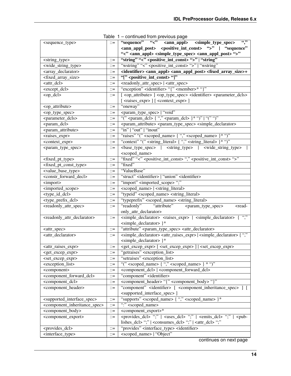|                                                                                                                                    | iavic i                                        | commuca nom previous page                                                                                                     |  |
|------------------------------------------------------------------------------------------------------------------------------------|------------------------------------------------|-------------------------------------------------------------------------------------------------------------------------------|--|
| <sequence_type></sequence_type>                                                                                                    | $\mathbb{C} =$                                 | $\overline{\cdots}$<br>"sequence" "<" <ann_appl> <simple_type_spec></simple_type_spec></ann_appl>                             |  |
|                                                                                                                                    |                                                | <ann_appl_post> <positive_int_const> "&gt;"   "sequence"</positive_int_const></ann_appl_post>                                 |  |
|                                                                                                                                    |                                                | "<" <ann_appl> <simple_type_spec> <ann_appl_post>"&gt;"</ann_appl_post></simple_type_spec></ann_appl>                         |  |
| <string_type></string_type>                                                                                                        |                                                | "string" "<" <positive_int_const> "&gt;"   "string"</positive_int_const>                                                      |  |
| <wide_string_type></wide_string_type>                                                                                              | $::=$                                          | "wstring" "<" <positive_int_const> "&gt;"   "wstring"</positive_int_const>                                                    |  |
| <array_declarator></array_declarator>                                                                                              | $\mathrel{\mathop:}=$                          | <identifier> <ann_appl> <ann_appl_post> <fixed_array_size>+</fixed_array_size></ann_appl_post></ann_appl></identifier>        |  |
| <fixed_array_size></fixed_array_size>                                                                                              | $::=$                                          | "[" <positive_int_const> "]"</positive_int_const>                                                                             |  |
| <attr_dcl></attr_dcl>                                                                                                              | $::=$                                          | <readonly_attr_spec>   <attr_spec></attr_spec></readonly_attr_spec>                                                           |  |
| <except_dcl></except_dcl>                                                                                                          | $::=$                                          | "exception" <identifier> "{" <member>* "}"</member></identifier>                                                              |  |
| <op_dcl></op_dcl>                                                                                                                  | $::=$                                          | [ <op_attribute> ] <op_type_spec> <identifier> <parameter_dcls></parameter_dcls></identifier></op_type_spec></op_attribute>   |  |
|                                                                                                                                    |                                                | [ <raises_expr> ] [<context_expr> ]</context_expr></raises_expr>                                                              |  |
| <op_attribute></op_attribute>                                                                                                      | $::=$                                          | "oneway"                                                                                                                      |  |
| <op_type_spec></op_type_spec>                                                                                                      | $::=$                                          | <param_type_spec>   "void"</param_type_spec>                                                                                  |  |
| <parameter_dcls></parameter_dcls>                                                                                                  | $::=$                                          | "(" <param_dcl> { "," <param_dcl> }* ")"   "(" ")"</param_dcl></param_dcl>                                                    |  |
| <param_dcl></param_dcl>                                                                                                            | $::=$                                          | <param_attribute> <param_type_spec> <simple_declarator></simple_declarator></param_type_spec></param_attribute>               |  |
| <param_attribute></param_attribute>                                                                                                | $\mathrel{\mathop:}=$                          | "in" $\sqrt{\frac{u}{\text{out}}}$ "inout"                                                                                    |  |
| <raises_expr></raises_expr>                                                                                                        | $::=$                                          | "raises" "(" <scoped_name> { "," <scoped_name> }* ")"</scoped_name></scoped_name>                                             |  |
| <context_expr></context_expr>                                                                                                      | $\mathbb{R}^2$                                 | "context" "(" <string_literal> { "," <string_literal> }* ")"</string_literal></string_literal>                                |  |
| <param_type_spec></param_type_spec>                                                                                                | $\mathbb{I} =$                                 |                                                                                                                               |  |
|                                                                                                                                    |                                                | <scoped_name></scoped_name>                                                                                                   |  |
| <fixed_pt_type></fixed_pt_type>                                                                                                    | $\mathbb{C} =$                                 | "fixed" "<" <positive_int_const>"," <positive_int_const>"&gt;"</positive_int_const></positive_int_const>                      |  |
| <fixed_pt_const_type></fixed_pt_const_type>                                                                                        | $\mathbb{C} =$                                 | "fixed"                                                                                                                       |  |
| <value_base_type></value_base_type>                                                                                                | $\mathbb{C} =$                                 | "ValueBase"                                                                                                                   |  |
| <constr_forward_decl></constr_forward_decl>                                                                                        | $::=$                                          | "struct" <identifier>   "union" <identifier></identifier></identifier>                                                        |  |
| <import></import>                                                                                                                  | $\mathrel{\mathop:}=$                          | "import" <imported_scope>";"</imported_scope>                                                                                 |  |
| <imported_scope></imported_scope>                                                                                                  | $::=$                                          | <scoped_name>   <string_literal></string_literal></scoped_name>                                                               |  |
| <type_id_dcl></type_id_dcl>                                                                                                        |                                                | "typeid" <scoped_name> <string_literal></string_literal></scoped_name>                                                        |  |
| <type_prefix_dcl></type_prefix_dcl>                                                                                                | $::=$                                          | "typeprefix" <scoped_name> <string_literal></string_literal></scoped_name>                                                    |  |
| <readonly_attr_spec></readonly_attr_spec>                                                                                          | $\mathrel{\mathop:}=$                          | "readonly" "attribute" <param_type_spec><br/>-read-</param_type_spec>                                                         |  |
| $::=$                                                                                                                              |                                                | only_attr_declarator>                                                                                                         |  |
|                                                                                                                                    |                                                | <simple_declarator> <raises_expr>   <simple_declarator> { ","</simple_declarator></raises_expr></simple_declarator>           |  |
| <readonly_attr_declarator></readonly_attr_declarator>                                                                              |                                                | <simple_declarator> }*</simple_declarator>                                                                                    |  |
|                                                                                                                                    |                                                | "attribute" <param_type_spec> <attr_declarator></attr_declarator></param_type_spec>                                           |  |
| <attr_spec><br/><attr_declarator></attr_declarator></attr_spec>                                                                    | $::=$                                          | <simple_declarator> <attr_raises_expr>   <simple_declarator> { ","</simple_declarator></attr_raises_expr></simple_declarator> |  |
|                                                                                                                                    | $::=$                                          |                                                                                                                               |  |
|                                                                                                                                    |                                                | <simple_declarator> }*</simple_declarator>                                                                                    |  |
| <attr_raises_expr></attr_raises_expr>                                                                                              | $\mathbb{H}^{\mathbb{H}}$                      | <get_excep_expr> [ <set_excep_expr> ]   <set_excep_expr></set_excep_expr></set_excep_expr></get_excep_expr>                   |  |
| <get_excep_expr></get_excep_expr>                                                                                                  | $::=$                                          | "getraises" <exception_list></exception_list>                                                                                 |  |
| <set_excep_expr></set_excep_expr>                                                                                                  | $::=$                                          | "setraises" <exception_list></exception_list>                                                                                 |  |
| <exception_list></exception_list>                                                                                                  | $\mathbb{R}^2$                                 | "(" <scoped_name> { "," <scoped_name><br/><math>* \lq\lq</math></scoped_name></scoped_name>                                   |  |
| <component></component>                                                                                                            | $\mathrel{\mathop:}=$                          | <component_dcl>   <component_forward_dcl></component_forward_dcl></component_dcl>                                             |  |
| <component_forward_dcl></component_forward_dcl>                                                                                    | $\mathbb{R}^2$                                 | "component" <identifier></identifier>                                                                                         |  |
| <component_dcl></component_dcl>                                                                                                    | $\mathrel{\mathop:}=$<br>$\mathrel{\mathop:}=$ | <component_header> "{" <component_body> "}"</component_body></component_header>                                               |  |
| <component_header></component_header>                                                                                              |                                                | "component" <identifier> [ <component_inheritance_spec></component_inheritance_spec></identifier>                             |  |
|                                                                                                                                    |                                                | <supported_interface_spec> ]</supported_interface_spec>                                                                       |  |
| <supported_interface_spec></supported_interface_spec>                                                                              | $\mathrel{\mathop:}=$                          | "supports" <scoped_name> { "," <scoped_name> }*</scoped_name></scoped_name>                                                   |  |
| <component_inheritance_spec></component_inheritance_spec>                                                                          | $\mathrel{\mathop:}=$                          | ":" <scoped_name></scoped_name>                                                                                               |  |
| <component_export>*<br/><component_body><br/><math display="inline">\mathrel{\mathop:}=</math></component_body></component_export> |                                                |                                                                                                                               |  |
| <component_export><br/><math>::=</math></component_export>                                                                         |                                                | <provides_dcl> ";"   <uses_dcl> ";"   <emits_dcl> ";"   <pub-< td=""></pub-<></emits_dcl></uses_dcl></provides_dcl>           |  |
|                                                                                                                                    |                                                | lishes_dcl> ";"   <consumes_dcl> ";"   <attr_dcl> ";"</attr_dcl></consumes_dcl>                                               |  |
| <provides_dcl></provides_dcl>                                                                                                      | $\mathrel{\mathop:}=$                          | "provides" <interface_type> <identifier></identifier></interface_type>                                                        |  |
| <interface_type></interface_type>                                                                                                  | $\mathrel{\mathop:}=$                          | <scoped_name>   "Object"</scoped_name>                                                                                        |  |

Table 1 – continued from previous page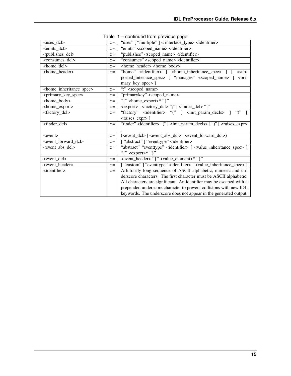| <uses_dcl></uses_dcl>                                                  |                           | "uses" [ "multiple" ] < interface_type> <identifier></identifier>                                                  |  |
|------------------------------------------------------------------------|---------------------------|--------------------------------------------------------------------------------------------------------------------|--|
| $\le$ emits_dcl>                                                       |                           | "emits" <scoped_name> <identifier></identifier></scoped_name>                                                      |  |
| <publishes_dcl></publishes_dcl>                                        |                           | "publishes" <scoped_name> <identifier></identifier></scoped_name>                                                  |  |
| <consumes_dcl></consumes_dcl>                                          | $\mathbb{R}^{\mathbb{Z}}$ | "consumes" <scoped_name> <identifier></identifier></scoped_name>                                                   |  |
| <home_dcl></home_dcl>                                                  | $\mathbb{R}^2 =$          | <home_header> <home_body></home_body></home_header>                                                                |  |
| <home_header></home_header>                                            | $\mathbb{R}^{\mathbb{Z}}$ | "home" <identifier> [ <home_inheritance_spec><br/><math>sup-</math></home_inheritance_spec></identifier>           |  |
|                                                                        |                           | ported_interface_spec> ] "manages" <scoped_name> [<br/>-<pri-< td=""></pri-<></scoped_name>                        |  |
|                                                                        |                           | mary_key_spec>]                                                                                                    |  |
| <home_inheritance_spec></home_inheritance_spec>                        | $\mathbb{R}^{\mathbb{Z}}$ | ":" <scoped_name></scoped_name>                                                                                    |  |
| <primary_key_spec></primary_key_spec>                                  | $\mathbb{R}^{\mathbb{Z}}$ | "primarykey" <scoped_name></scoped_name>                                                                           |  |
| <home_body></home_body>                                                | $\mathbf{r} =$            | "{" <home_export>* "}"</home_export>                                                                               |  |
| <home_export></home_export>                                            | $\mathbb{R}^{\mathbb{Z}}$ | <export>   <factory_dcl> ";"   <finder_dcl> ";"</finder_dcl></factory_dcl></export>                                |  |
| <factory_dcl></factory_dcl>                                            | $\mathbb{R}^{\mathbb{Z}}$ | "factory" <identifier> "(" [ <init_param_decls><br/><math>\lq\lq\lq\lq</math></init_param_decls></identifier>      |  |
|                                                                        |                           | <raises_expr>]</raises_expr>                                                                                       |  |
| $<$ finder_dcl>                                                        | $\mathbb{R}^{\mathbb{Z}}$ | "finder" <identifier> "(" [ <init_param_decls> ] ")" [ <raises_expr></raises_expr></init_param_decls></identifier> |  |
|                                                                        |                           |                                                                                                                    |  |
| <event></event>                                                        |                           | ( <event_dcl>   <event_abs_dcl>   <event_forward_dcl>)</event_forward_dcl></event_abs_dcl></event_dcl>             |  |
| <event_forward_dcl></event_forward_dcl>                                |                           | ["abstract"] "eventtype" <identifier></identifier>                                                                 |  |
| <event_abs_dcl></event_abs_dcl>                                        | $\mathbb{R}^{\mathbb{Z}}$ | "abstract" "eventtype" <identifier> [ <value_inheritance_spec> ]</value_inheritance_spec></identifier>             |  |
|                                                                        |                           | "{" <export>* "}"</export>                                                                                         |  |
| <event_dcl><br/><math>\mathbb{R}^{\mathbb{Z}}</math></event_dcl>       |                           | <event_header> "{" <value_element>* "}"</value_element></event_header>                                             |  |
| <event_header><br/><math>\mathbb{R}^{\mathbb{Z}}</math></event_header> |                           | ["custom"] "eventtype" <identifier> [ <value_inheritance_spec> ]</value_inheritance_spec></identifier>             |  |
| <identifier></identifier>                                              | $\mathbb{R}^{\mathbb{Z}}$ | Arbitrarily long sequence of ASCII alphabetic, numeric and un-                                                     |  |
|                                                                        |                           | derscore characters. The first character must be ASCII alphabetic.                                                 |  |
|                                                                        |                           | All characters are significant. An identifier may be escaped with a                                                |  |
|                                                                        |                           | prepended underscore character to prevent collisions with new IDL                                                  |  |
|                                                                        |                           | keywords. The underscore does not appear in the generated output.                                                  |  |

Table 1 – continued from previous page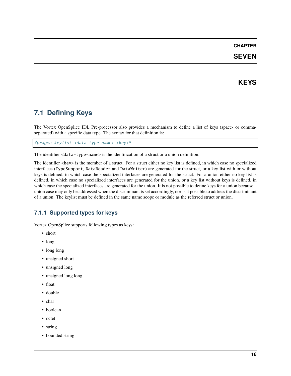### **SEVEN**

### **KEYS**

### <span id="page-17-1"></span><span id="page-17-0"></span>**7.1 Defining Keys**

The Vortex OpenSplice IDL Pre-processor also provides a mechanism to define a list of keys (space- or commaseparated) with a specific data type. The syntax for that definition is:

#pragma keylist <data-type-name> <key>\*

The identifier <data-type-name> is the identification of a struct or a union definition.

The identifier <key> is the member of a struct. For a struct either no key list is defined, in which case no specialized interfaces (TypeSupport, DataReader and DataWriter) are generated for the struct, or a key list with or without keys is defined, in which case the specialized interfaces are generated for the struct. For a union either no key list is defined, in which case no specialized interfaces are generated for the union, or a key list without keys is defined, in which case the specialized interfaces are generated for the union. It is not possible to define keys for a union because a union case may only be addressed when the discriminant is set accordingly, nor is it possible to address the discriminant of a union. The keylist must be defined in the same name scope or module as the referred struct or union.

### <span id="page-17-2"></span>**7.1.1 Supported types for keys**

Vortex OpenSplice supports following types as keys:

- short
- long
- long long
- unsigned short
- unsigned long
- unsigned long long
- float
- double
- char
- boolean
- octet
- string
- bounded string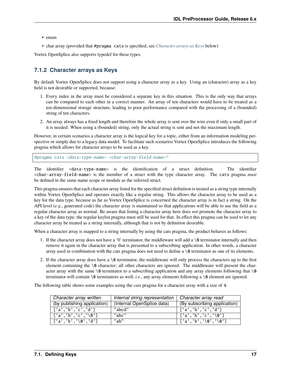- enum
- char array (provided that #pragma cats is specified; see *[Character arrays as Keys](#page-18-0)* below)

Vortex OpenSplice also supports typedef for these types.

### <span id="page-18-0"></span>**7.1.2 Character arrays as Keys**

By default Vortex OpenSplice does not support using a character array as a key. Using an (character) array as a key field is not desirable or supported, because:

- 1. Every index in the array must be considered a separate key in this situation. This is the only way that arrays can be compared to each other in a correct manner. An array of ten characters would have to be treated as a ten-dimensional storage structure, leading to poor performance compared with the processing of a (bounded) string of ten characters.
- 2. An array always has a fixed length and therefore the whole array is sent over the wire even if only a small part of it is needed. When using a (bounded) string, only the actual string is sent and not the maximum length.

However, in certain scenarios a character array is the logical key for a topic, either from an information modeling perspective or simply due to a legacy data model. To facilitate such scenarios Vortex OpenSplice introduces the following pragma which allows for character arrays to be used as a key.

#pragma cats <data-type-name> <char-array-field-name>\*

The identifier <data-type-name> is the identification of a struct definition. The identifier <char-array-field-name> is the member of a struct with the type character array. The cats pragma *must* be defined in the same name scope or module as the referred struct.

This pragma ensures that each character array listed for the specified struct definition is treated as a string type internally within Vortex OpenSplice and operates exactly like a regular string. This allows the character array to be used as a key for the data type, because as far as Vortex OpenSplice is concerned the character array is in fact a string. On the API level (*e.g.*, generated code) the character array is maintained so that applications will be able to use the field as a regular character array as normal. Be aware that listing a character array here does *not* promote the character array to a key of the data type; the regular keylist pragma must still be used for that. In effect this pragma can be used to let any character array be treated as a string internally, although that is not by definition desirable.

When a character array is mapped to a string internally by using the cats pragma, the product behaves as follows:

- 1. If the character array does not have a '0' terminator, the middleware will add a \0 terminator internally and then remove it again in the character array that is presented to a subscribing application. In other words, a character array used in combination with the cats pragma does not need to define a  $\mathcal{O}$  terminator as one of its elements.
- 2. If the character array does have a  $\&$  terminator, the middleware will only process the characters up to the first element containing the  $\emptyset$  character; all other characters are ignored. The middleware will present the character array with the same  $\lozenge$  terminator to a subscribing application and any array elements following that  $\lozenge$ terminator will contain  $\emptyset$  terminators as well; *i.e.*, any array elements following a  $\emptyset$  element are ignored.

The following table shows some examples using the *cats* pragma for a character array with a size of 4.

| Character array written     | Internal string representation | Character array read         |
|-----------------------------|--------------------------------|------------------------------|
| (by publishing application) | (Internal OpenSplice data)     | (By subscribing application) |
| ['a','b','c','d']           | "abcd"                         | ['a','b','c','d']            |
| $[ 'a', 'b', 'c', ' \ 0']$  | "abc"                          | ['a','b','c','\0']           |
| ['a','b','\0','d']          | "ab"                           | ['a','b','\0','\0']          |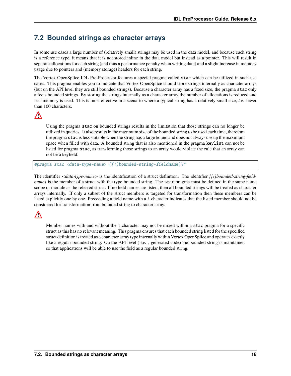### <span id="page-19-0"></span>**7.2 Bounded strings as character arrays**

In some use cases a large number of (relatively small) strings may be used in the data model, and because each string is a reference type, it means that it is not stored inline in the data model but instead as a pointer. This will result in separate allocations for each string (and thus a performance penalty when writing data) and a slight increase in memory usage due to pointers and (memory storage) headers for each string.

The Vortex OpenSplice IDL Pre-Processor features a special pragma called stac which can be utilized in such use cases. This pragma enables you to indicate that Vortex OpenSplice should store strings internally as character arrays (but on the API level they are still bounded strings). Because a character array has a fixed size, the pragma stac only affects bounded strings. By storing the strings internally as a character array the number of allocations is reduced and less memory is used. This is most effective in a scenario where a typical string has a relatively small size, *i.e.* fewer than 100 characters.

# $\bigwedge$

Using the pragma stac on bounded strings results in the limitation that those strings can no longer be utilized in queries. It also results in the maximum size of the bounded string to be used each time, therefore the pragma stac is less suitable when the string has a large bound and does not always use up the maximum space when filled with data. A bounded string that is also mentioned in the pragma keylist can not be listed for pragma stac, as transforming those strings to an array would violate the rule that an array can not be a keyfield.

#pragma stac <data-type-name> [[!]bounded-string-fieldname]\\*

The identifier *<data-type-name>* is the identification of a struct definition. The identifier *[[!]bounded-string-fieldname]* is the member of a struct with the type bounded string. The stac pragma must be defined in the same name scope or module as the referred struct. If no field names are listed, then all bounded strings will be treated as character arrays internally. If only a subset of the struct members is targeted for transformation then these members can be listed explicitly one by one. Preceeding a field name with a ! character indicates that the listed member should not be considered for transformation from bounded string to character array.

# $\bigwedge$

Member names with and without the ! character may not be mixed within a stac pragma for a specific struct as this has no relevant meaning. This pragma ensures that each bounded string listed for the specified struct definition is treated as a character array type internally within Vortex OpenSplice and operates exactly like a regular bounded string. On the API level ( *i.e.* , generated code) the bounded string is maintained so that applications will be able to use the field as a regular bounded string.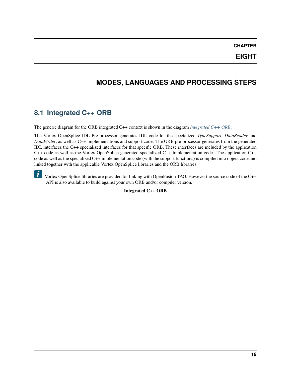**EIGHT**

# **MODES, LANGUAGES AND PROCESSING STEPS**

### <span id="page-20-1"></span><span id="page-20-0"></span>**8.1 Integrated C++ ORB**

The generic diagram for the ORB integrated C++ context is shown in the diagram *[Integrated C++ ORB](#page-20-2)*.

The Vortex OpenSplice IDL Pre-processor generates IDL code for the specialized *TypeSupport*, *DataReader* and *DataWriter*, as well as C++ implementations and support code. The ORB pre-processor generates from the generated IDL interfaces the C++ specialized interfaces for that specific ORB. These interfaces are included by the application C++ code as well as the Vortex OpenSplice generated specialized C++ implementation code. The application C++ code as well as the specialized C++ implementation code (with the support functions) is compiled into object code and linked together with the applicable Vortex OpenSplice libraries and the ORB libraries.

<span id="page-20-2"></span> $|\tilde{\bm{u}}|$ Vortex OpenSplice libraries are provided for linking with OpenFusion TAO. However the source code of the C++ API is also available to build against your own ORB and/or compiler version.

**Integrated C++ ORB**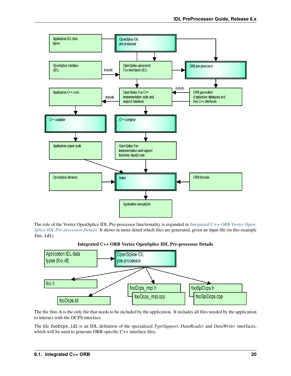

The role of the Vortex OpenSplice IDL Pre-processor functionality is expanded in *[Integrated C++ ORB Vortex Open-](#page-21-0)[Splice IDL Pre-processor Details](#page-21-0)*. It shows in more detail which files are generated, given an input file (in this example foo.idl).



<span id="page-21-0"></span>

The file foo.h is the only file that needs to be included by the application. It includes all files needed by the application to interact with the DCPS interface.

The file fooDcps.idl is an IDL definition of the specialized *TypeSupport*, *DataReader* and *DataWriter* interfaces, which will be used to generate ORB-specific C++ interface files.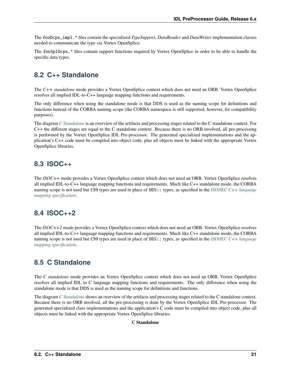The fooDcps\_impl.\* files contain the specialized *TypeSupport*, *DataReader* and *DataWriter* implementation classes needed to communicate the type *via* Vortex OpenSplice.

The fooSplDcps.\* files contain support functions required by Vortex OpenSplice in order to be able to handle the specific data types.

### <span id="page-22-0"></span>**8.2 C++ Standalone**

The *C++ standalone* mode provides a Vortex OpenSplice context which does not need an ORB. Vortex OpenSplice resolves all implied IDL-to-C++ language mapping functions and requirements.

The only difference when using the standalone mode is that DDS is used as the naming scope for definitions and functions instead of the CORBA naming scope (the CORBA namespace is still supported, however, for compatibility purposes).

The diagram *[C Standalone](#page-22-4)* is an overview of the artifacts and processing stages related to the C standalone context. For C++ the different stages are equal to the C standalone context. Because there is no ORB involved, all pre-processing is performed by the Vortex OpenSplice IDL Pre-processor. The generated specialized implementations and the application's C++ code must be compiled into object code, plus all objects must be linked with the appropriate Vortex OpenSplice libraries.

### <span id="page-22-1"></span>**8.3 ISOC++**

The *ISOC++* mode provides a Vortex OpenSplice context which does not need an ORB. Vortex OpenSplice resolves all implied IDL-to-C++ language mapping functions and requirements. Much like C++ standalone mode, the CORBA naming scope is not used but C99 types are used in place of DDS:: types, as specified in the *[ISO/IEC C++ language](#page-30-1) [mapping specification](#page-30-1)*.

### <span id="page-22-2"></span>**8.4 ISOC++2**

The *ISOC++2* mode provides a Vortex OpenSplice context which does not need an ORB. Vortex OpenSplice resolves all implied IDL-to-C++ language mapping functions and requirements. Much like C++ standalone mode, the CORBA naming scope is not used but C99 types are used in place of DDS:: types, as specified in the *[ISO/IEC C++ language](#page-30-1) [mapping specification](#page-30-1)*.

### <span id="page-22-3"></span>**8.5 C Standalone**

The *C standalone* mode provides an Vortex OpenSplice context which does not need an ORB. Vortex OpenSplice resolves all implied IDL to C language mapping functions and requirements. The only difference when using the standalone mode is that DDS is used as the naming scope for definitions and functions.

<span id="page-22-4"></span>The diagram *[C Standalone](#page-22-4)* shows an overview of the artifacts and processing stages related to the C standalone context. Because there is no ORB involved, all the pre-processing is done by the Vortex OpenSplice IDL Pre-processor. The generated specialized class implementations and the application's C code must be compiled into object code, plus all objects must be linked with the appropriate Vortex OpenSplice libraries.

#### **C Standalone**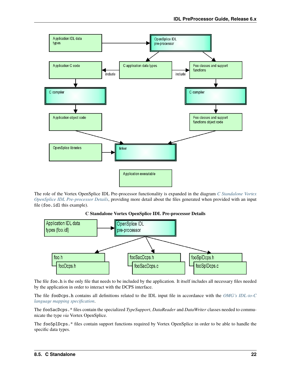

The role of the Vortex OpenSplice IDL Pre-processor functionality is expanded in the diagram *[C Standalone Vortex](#page-23-0) [OpenSplice IDL Pre-processor Details](#page-23-0)*, providing more detail about the files generated when provided with an input file (foo.idl this example).



<span id="page-23-0"></span>

The file foo.h is the only file that needs to be included by the application. It itself includes all necessary files needed by the application in order to interact with the DCPS interface.

The file fooDcps.h contains all definitions related to the IDL input file in accordance with the *[OMG's IDL-to-C](#page-30-2) [language mapping specification](#page-30-2)*.

The fooSacDcps.\* files contain the specialized *TypeSupport*, *DataReader* and *DataWriter* classes needed to communicate the type *via* Vortex OpenSplice.

The fooSplDcps.\* files contain support functions required by Vortex OpenSplice in order to be able to handle the specific data types.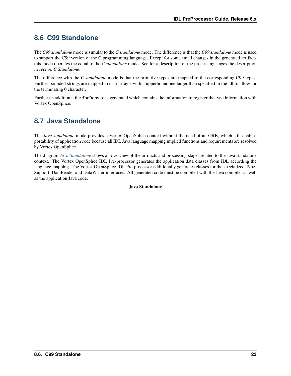# <span id="page-24-0"></span>**8.6 C99 Standalone**

The *C99 standalone* mode is simular to the *C standalone* mode. The difference is that the *C99 standalone* mode is used to support the C99 version of the C programming language. Except for some small changes in the generated artifacts this mode operates the equal to the *C standalone* mode. See for a description of the processing stages the description in *section C Standalone*.

The difference with the *C standalone* mode is that the primitive types are mapped to the corresponding C99 types. Further bounded strings are mapped to char array's with a upperboundone larger than specified in the idl to allow for the terminating 0 character.

Further an additional file fooDcps.c is generated which contains the information to register the type information with Vortex OpenSplice.

# <span id="page-24-1"></span>**8.7 Java Standalone**

The *Java standalone* mode provides a Vortex OpenSplice context without the need of an ORB, which still enables portability of application code because all IDL Java language mapping implied functions and requirements are resolved by Vortex OpenSplice.

<span id="page-24-2"></span>The diagram *[Java Standalone](#page-24-2)* shows an overview of the artifacts and processing stages related to the Java standalone context. The Vortex OpenSplice IDL Pre-processor generates the application data classes from IDL according the language mapping. The Vortex OpenSplice IDL Pre-processor additionally generates classes for the specialized Type-Support, DataReader and DataWriter interfaces. All generated code must be compiled with the Java compiler as well as the application Java code.

#### **Java Standalone**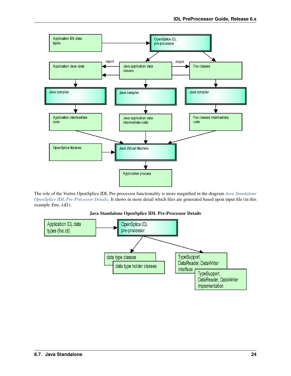

The role of the Vortex OpenSplice IDL Pre-processor functionality is more magnified in the diagram *[Java Standalone](#page-25-0) [OpenSplice IDL Pre-Processor Details](#page-25-0)*. It shows in more detail which files are generated based upon input file (in this example foo.idl).



<span id="page-25-0"></span>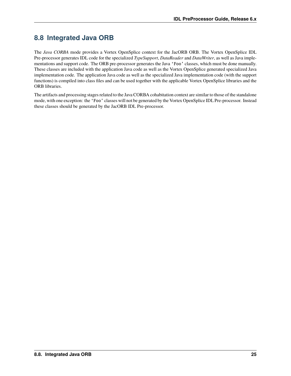# <span id="page-26-0"></span>**8.8 Integrated Java ORB**

The *Java CORBA* mode provides a Vortex OpenSplice context for the JacORB ORB. The Vortex OpenSplice IDL Pre-processor generates IDL code for the specialized *TypeSupport*, *DataReader* and *DataWriter*, as well as Java implementations and support code. The ORB pre-processor generates the Java 'Foo' classes, which must be done manually. These classes are included with the application Java code as well as the Vortex OpenSplice generated specialized Java implementation code. The application Java code as well as the specialized Java implementation code (with the support functions) is compiled into class files and can be used together with the applicable Vortex OpenSplice libraries and the ORB libraries.

The artifacts and processing stages related to the Java CORBA cohabitation context are similar to those of the standalone mode, with one exception: the 'Foo' classes will not be generated by the Vortex OpenSplice IDL Pre-processor. Instead these classes should be generated by the JacORB IDL Pre-processor.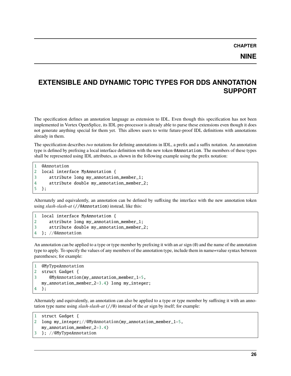### **NINE**

# <span id="page-27-0"></span>**EXTENSIBLE AND DYNAMIC TOPIC TYPES FOR DDS ANNOTATION SUPPORT**

The specification defines an annotation language as extension to IDL. Even though this specification has not been implemented in Vortex OpenSplice, its IDL pre-processor is already able to parse these extensions even though it does not generate anything special for them yet. This allows users to write future-proof IDL definitions with annotations already in them.

The specification describes *two* notations for defining annotations in IDL, a prefix and a suffix notation. An annotation type is defined by prefixing a local interface definition with the new token @Annotation. The members of these types shall be represented using IDL attributes, as shown in the following example using the prefix notation:

```
1 @Annotation
2 local interface MyAnnotation {
3 attribute long my_annotation_member_1;
4 attribute double my_annotation_member_2;
5 };
```
Alternately and equivalently, an annotation can be defined by suffixing the interface with the new annotation token using *slash-slash-at* (//@Annotation) instead, like this:

```
1 local interface MyAnnotation {
2 attribute long my_annotation_member_1;
3 attribute double my_annotation_member_2;
4 }; //@Annotation
```
An annotation can be applied to a type or type member by prefixing it with an *at* sign (@) and the name of the annotation type to apply. To specify the values of any members of the annotation type, include them in name=value syntax between parentheses; for example:

```
1 @MyTypeAnnotation
2 struct Gadget {
3 @MyAnnotation(my_annotation_member_1=5,
  my_annotation_member_2=3.4) long my_integer;
4 };
```
Alternately and equivalently, an annotation can also be applied to a type or type member by suffixing it with an annotation type name using *slash-slash-at* (//@) instead of the *at* sign by itself; for example:

```
1 struct Gadget {
2 long my_integer;//@MyAnnotation(my_annotation_member_1=5,
  my_annotation_member_2=3.4)
3 }; //@MyTypeAnnotation
```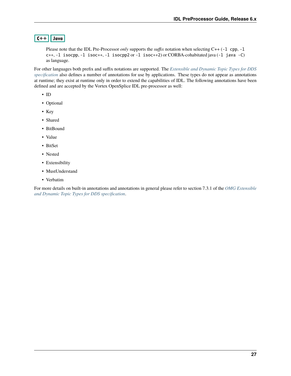### $|C++|$  Java

Please note that the IDL Pre-Processor *only* supports the *suffix* notation when selecting C++ (-1 cpp, -1 c++, -l isocpp, -l isoc++, -l isocpp2 or -l isoc++2) or CORBA-cohabitated java (-l java -C) as language.

For other languages both prefix and suffix notations are supported. The *[Extensible and Dynamic Topic Types for DDS](#page-30-3) [specification](#page-30-3)* also defines a number of annotations for use by applications. These types do not appear as annotations at runtime; they exist at runtime only in order to extend the capabilities of IDL. The following annotations have been defined and are accepted by the Vortex OpenSplice IDL pre-processor as well:

- ID
- Optional
- Key
- Shared
- BitBound
- Value
- BitSet
- Nested
- Extensibility
- MustUnderstand
- Verbatim

For more details on built-in annotations and annotations in general please refer to section 7.3.1 of the *[OMG Extensible](#page-30-3) [and Dynamic Topic Types for DDS specification](#page-30-3)*.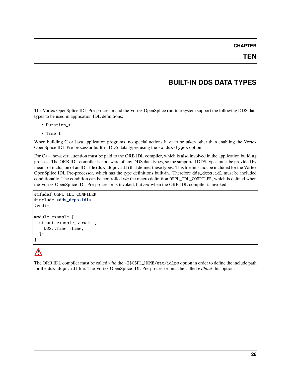# **BUILT-IN DDS DATA TYPES**

<span id="page-29-0"></span>The Vortex OpenSplice IDL Pre-processor and the Vortex OpenSplice runtime system support the following DDS data types to be used in application IDL definitions:

- Duration\_t
- Time\_t

When building C or Java application programs, no special actions have to be taken other than enabling the Vortex OpenSplice IDL Pre-processor built-in DDS data types using the -o dds-types option.

For C++, however, attention must be paid to the ORB IDL compiler, which is also involved in the application building process. The ORB IDL compiler is not aware of any DDS data types, so the supported DDS types must be provided by means of inclusion of an IDL file (dds\_dcps.idl) that defines these types. This file must not be included for the Vortex OpenSplice IDL Pre-processor, which has the type definitions built-in. Therefore dds\_dcps.idl must be included conditionally. The condition can be controlled *via* the macro definition OSPL\_IDL\_COMPILER, which is defined when the Vortex OpenSplice IDL Pre-processor is invoked, but *not* when the ORB IDL compiler is invoked:

```
#ifndef OSPL_IDL_COMPILER
#include <dds_dcps.idl>
#endif
module example {
  struct example_struct {
    DDS::Time_ttime;
  };
};
```
# $\bigwedge$

The ORB IDL compiler must be called *with* the -I\$OSPL\_HOME/etc/idlpp option in order to define the include path for the dds\_dcps.idl file. The Vortex OpenSplice IDL Pre-processor must be called *without* this option.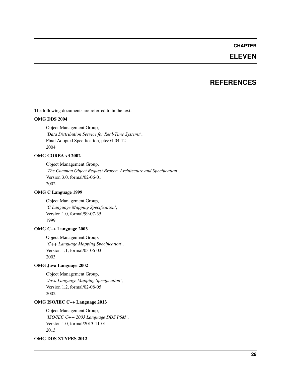### **ELEVEN**

### **REFERENCES**

<span id="page-30-0"></span>The following documents are referred to in the text:

#### **OMG DDS 2004**

Object Management Group, *'Data Distribution Service for Real-Time Systems'*, Final Adopted Specification, ptc/04-04-12 2004

#### **OMG CORBA v3 2002**

Object Management Group, *'The Common Object Request Broker: Architecture and Specification'*, Version 3.0, formal/02-06-01 2002

#### <span id="page-30-2"></span>**OMG C Language 1999**

Object Management Group, *'C Language Mapping Specification'*, Version 1.0, formal/99-07-35 1999

#### **OMG C++ Language 2003**

Object Management Group, *'C++ Language Mapping Specification'*, Version 1.1, formal/03-06-03 2003

#### **OMG Java Language 2002**

Object Management Group, *'Java Language Mapping Specification'*, Version 1.2, formal/02-08-05 2002

#### <span id="page-30-1"></span>**OMG ISO/IEC C++ Language 2013**

Object Management Group, *'ISO/IEC C++ 2003 Language DDS PSM'*, Version 1.0, formal/2013-11-01 2013

#### <span id="page-30-3"></span>**OMG DDS XTYPES 2012**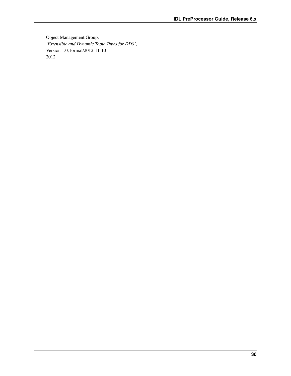Object Management Group, *'Extensible and Dynamic Topic Types for DDS'*, Version 1.0, formal/2012-11-10 2012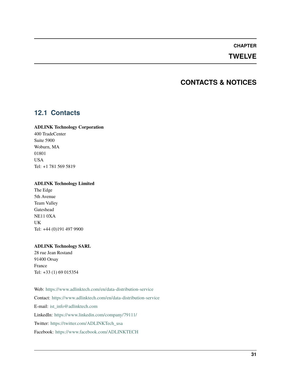### **TWELVE**

### **CONTACTS & NOTICES**

### <span id="page-32-1"></span><span id="page-32-0"></span>**12.1 Contacts**

#### **ADLINK Technology Corporation**

400 TradeCenter Suite 5900 Woburn, MA 01801 USA Tel: +1 781 569 5819

#### **ADLINK Technology Limited**

The Edge 5th Avenue Team Valley Gateshead NE11 0XA UK Tel: +44 (0)191 497 9900

#### **ADLINK Technology SARL**

28 rue Jean Rostand 91400 Orsay France Tel: +33 (1) 69 015354

Web: <https://www.adlinktech.com/en/data-distribution-service> Contact: <https://www.adlinktech.com/en/data-distribution-service> E-mail: [ist\\_info@adlinktech.com](mailto:ist_info@adlinktech.com) LinkedIn: <https://www.linkedin.com/company/79111/> Twitter: [https://twitter.com/ADLINKTech\\_usa](https://twitter.com/ADLINKTech_usa) Facebook: <https://www.facebook.com/ADLINKTECH>